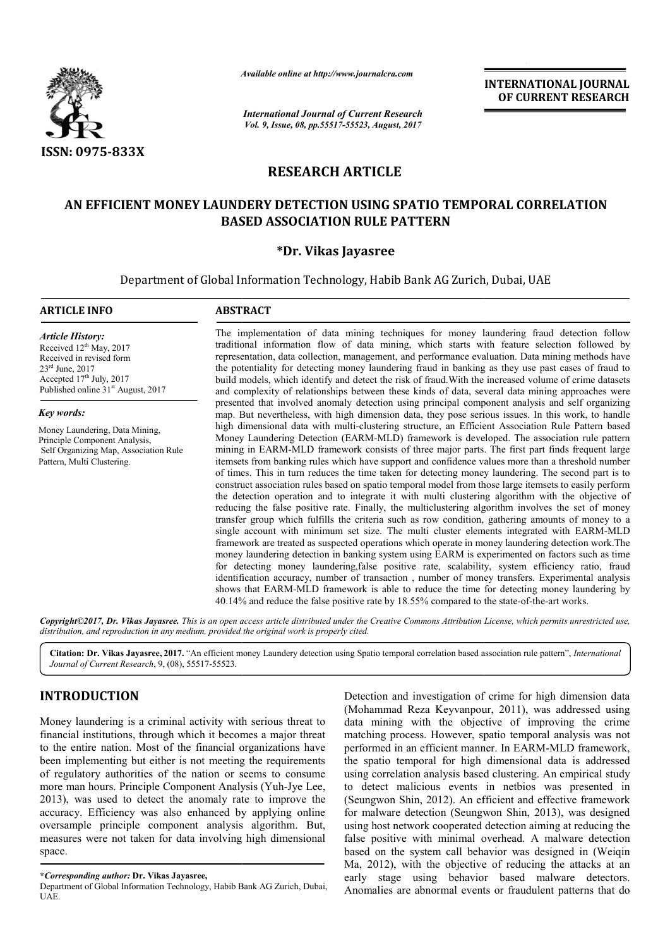

*Available online at http://www.journal http://www.journalcra.com*

*International Journal of Current Research Vol. 9, Issue, 08, pp.55517-55523, August, 2017* **INTERNATIONAL JOURNAL OF CURRENT RESEARCH** 

# **RESEARCH ARTICLE**

# **AN EFFICIENT MONEY LAUNDERY DETECTION USING SPATIO TEMPORAL CORRELATION BASED ASSOCIATION RULE PATTERN**

# **\*Dr. Vikas Jayasree**

Department of Global Information Technology, Habib Bank AG Zurich, Dubai, UAE

#### **ARTICLE INFO ABSTRACT**

*Article History:* Received 12<sup>th</sup> May, 2017 Received in revised form 23rd June, 2017 Accepted 17<sup>th</sup> July, 2017 Published online  $31<sup>st</sup>$  August, 2017

*Key words:*

Money Laundering, Data Mining, Principle Component Analysis, Self Organizing Map, Association Rule Pattern, Multi Clustering.

The implementation of data mining techniques for money laundering fraud detection follow traditional information flow of data mining, which starts with feature selection followed by representation, data collection, management, and performance evaluation. Data mining methods have the potentiality for detecting money laundering fraud in banking as they use past cases of fraud to build models, which identify and detect the risk of fraud. With the increased volume of crime datasets and complexity of relationships between these kinds of data, several data mining approaches were presented that involved anomaly detection using principal component analysis and self organizing map. But nevertheless, with high dimension data, they pose serious issues. In this work, to high dimensional data with multi-clustering structure, an Efficient Association Rule Pattern based Money Laundering Detection (EARM (EARM-MLD) framework is developed. The association rule pattern mining in EARM-MLD framework consists of three major parts. The first part finds frequent large itemsets from banking rules which have support and confidence values more than a threshold number of times. This in turn reduces the time taken for detecting money laundering. The second part is to construct association rules based on spatio temporal model from those large itemsets to easily perform the det detection operation and to integrate it with multi clustering algorithm with the objective of reducing the false positive rate. Finally, the multiclustering algorithm involves the set of money transfer group which fulfills the criteria such as row condition, single account with minimum set size. The multi cluster elements integrated with EARM-MLD framework are treated as suspected operations which operate in money laundering detection work.The money laundering detection in banking system using EARM is experimented on factors such as time for detecting money laundering,false positive rate, scalability, system efficiency ratio, fraud identification accuracy, number of transaction , number of money transfers. Experimental analysis shows that EARM-MLD framework is able to reduce the time for detecting money laundering by 40.14% and reduce the false positive rate by 18.55 18.55% compared to the state The implementation of data mining techniques for money laundering fraud detection follow traditional information flow of data mining, which starts with feature selection followed by representation, data collection, managem build models, which identify and detect the risk of fraud. With the increased volume of crime datasets and complexity of relationships between these kinds of data, several data mining approaches were presented that involve Money Laundering Detection (EARM-MLD) framework is developed. The association rule pattern<br>mining in EARM-MLD framework consists of three major parts. The first part finds frequent large<br>itemsets from banking rules which h framework are treated as suspected operations which operate in money laundering detection work<br>money laundering detection in banking system using EARM is experimented on factors such as<br>for detecting money laundering,false **INTERNATIONAL JOURNAL CORRELATION CONTROVERY RESEARCH CONTROVERY INTERNATIONAL LOTENT CONTROVERY CONTROVERY (CONTROVERY ASSEMBATION NRULE PATTERN<br>
IN USING SPATIO TEMPORAL CORRELATION RIVERS (SEE AND AN EXPLICIT CONTROVE** 

*Copyright©2017, Dr. Vikas Jayasree. This is an open access article distributed under the Creative Commons Attribution License, which ribution permits unrestricted use, distribution, and reproduction in any medium, provided the original work is properly cited.*

Citation: Dr. Vikas Jayasree, 2017. "An efficient money Laundery detection using Spatio temporal correlation based association rule pattern", *International Journal of Current Research*, 9, (08), 55517-55523.

# **INTRODUCTION**

Money laundering is a criminal activity with serious threat to financial institutions, through which it becomes a major threat to the entire nation. Most of the financial organizations have been implementing but either is not meeting the requirements of regulatory authorities of the nation or seems to consume of regulatory authorities of the nation or seems to consume more man hours. Principle Component Analysis (Yuh-Jye Lee, 2013), was used to detect the anomaly rate to improve the accuracy. Efficiency was also enhanced by applying online oversample principle component analysis algorithm. But, measures were not taken for data involving high dimensional space.

Detection and investigation of crime for high dimension data<br>
(Mohammad Reza Keyvanpour, 2011), was addressed using<br>
which it becomes a major threat<br>
which it becomes a major threat<br>
matching process. However, spatio tempo (Mohammad Reza Keyvanpour, 2011), was addressed using data mining with the objective of improving the crime matching process. However, spatio temporal analysis was not performed in an efficient manner. In EARM-MLD framework. the spatio temporal for high dimensional data is addressed using correlation analysis based clustering. An empirical study to detect malicious events in netbios was presented in (Seungwon Shin, 2012). An efficient and effective framework for malware detection (Seungwon Shin, 2013), was designed using host network cooperated detection aiming at reducing the false positive with minimal overhead. A malware detection based on the system call behavior was designed in Ma, 2012), with the objective of reducing the attacks at an early stage using behavior based malware detectors. Anomalies are abnormal events or fraudulent patterns that do Detection and investigation of crime for high dimension data with the objective of improving the crime<br>ess. However, spatio temporal analysis was not<br>n efficient manner. In EARM-MLD framework, correlation analysis based clustering. An empirical study tect malicious events in netbios was presented in gwon Shin, 2012). An efficient and effective framework network cooperated detection aiming at reducing the<br>ive with minimal overhead. A malware detection<br>the system call behavior was designed in (Weiqin

**<sup>\*</sup>***Corresponding author:* **Dr. Vikas Jayasree,**

Department of Global Information Technology, Habib Bank AG Zurich, Dubai, UAE.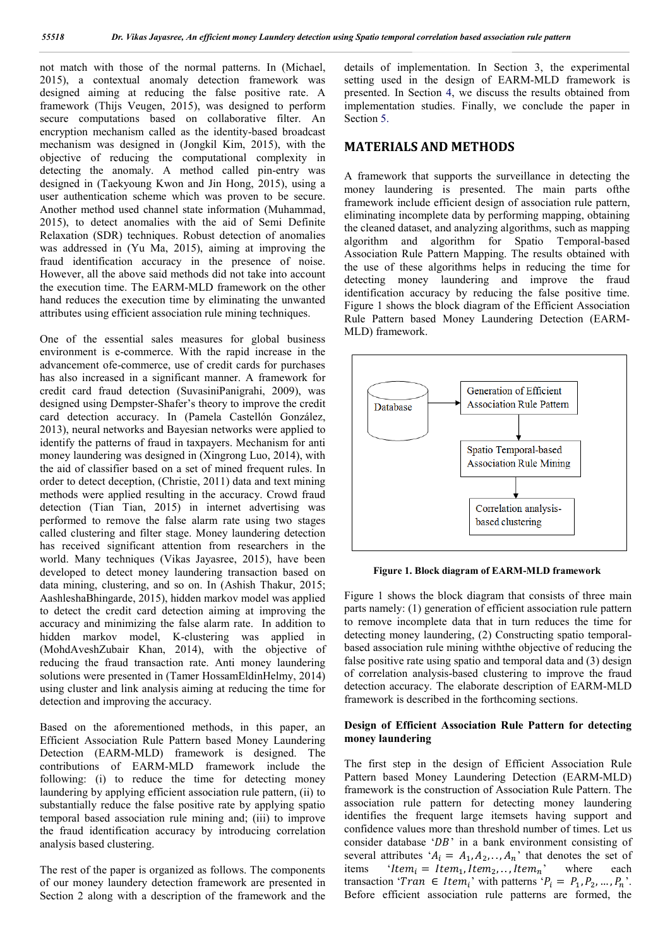not match with those of the normal patterns. In (Michael, 2015), a contextual anomaly detection framework was designed aiming at reducing the false positive rate. A framework (Thijs Veugen, 2015), was designed to perform secure computations based on collaborative filter. An encryption mechanism called as the identity-based broadcast mechanism was designed in (Jongkil Kim, 2015), with the objective of reducing the computational complexity in detecting the anomaly. A method called pin-entry was designed in (Taekyoung Kwon and Jin Hong, 2015), using a user authentication scheme which was proven to be secure. Another method used channel state information (Muhammad, 2015), to detect anomalies with the aid of Semi Definite Relaxation (SDR) techniques. Robust detection of anomalies was addressed in (Yu Ma, 2015), aiming at improving the fraud identification accuracy in the presence of noise. However, all the above said methods did not take into account the execution time. The EARM-MLD framework on the other hand reduces the execution time by eliminating the unwanted attributes using efficient association rule mining techniques.

One of the essential sales measures for global business environment is e-commerce. With the rapid increase in the advancement ofe-commerce, use of credit cards for purchases has also increased in a significant manner. A framework for credit card fraud detection (SuvasiniPanigrahi, 2009), was designed using Dempster-Shafer's theory to improve the credit card detection accuracy. In (Pamela Castellón González, 2013), neural networks and Bayesian networks were applied to identify the patterns of fraud in taxpayers. Mechanism for anti money laundering was designed in (Xingrong Luo, 2014), with the aid of classifier based on a set of mined frequent rules. In order to detect deception, (Christie, 2011) data and text mining methods were applied resulting in the accuracy. Crowd fraud detection (Tian Tian, 2015) in internet advertising was performed to remove the false alarm rate using two stages called clustering and filter stage. Money laundering detection has received significant attention from researchers in the world. Many techniques (Vikas Jayasree, 2015), have been developed to detect money laundering transaction based on data mining, clustering, and so on. In (Ashish Thakur, 2015; AashleshaBhingarde, 2015), hidden markov model was applied to detect the credit card detection aiming at improving the accuracy and minimizing the false alarm rate. In addition to hidden markov model, K-clustering was applied in (MohdAveshZubair Khan, 2014), with the objective of reducing the fraud transaction rate. Anti money laundering solutions were presented in (Tamer HossamEldinHelmy, 2014) using cluster and link analysis aiming at reducing the time for detection and improving the accuracy.

Based on the aforementioned methods, in this paper, an Efficient Association Rule Pattern based Money Laundering Detection (EARM-MLD) framework is designed. The contributions of EARM-MLD framework include the following: (i) to reduce the time for detecting money laundering by applying efficient association rule pattern, (ii) to substantially reduce the false positive rate by applying spatio temporal based association rule mining and; (iii) to improve the fraud identification accuracy by introducing correlation analysis based clustering.

The rest of the paper is organized as follows. The components of our money laundery detection framework are presented in Section 2 along with a description of the framework and the details of implementation. In Section 3, the experimental setting used in the design of EARM-MLD framework is presented. In Section 4, we discuss the results obtained from implementation studies. Finally, we conclude the paper in Section 5.

# **MATERIALS AND METHODS**

A framework that supports the surveillance in detecting the money laundering is presented. The main parts ofthe framework include efficient design of association rule pattern, eliminating incomplete data by performing mapping, obtaining the cleaned dataset, and analyzing algorithms, such as mapping algorithm and algorithm for Spatio Temporal-based Association Rule Pattern Mapping. The results obtained with the use of these algorithms helps in reducing the time for detecting money laundering and improve the fraud identification accuracy by reducing the false positive time. Figure 1 shows the block diagram of the Efficient Association Rule Pattern based Money Laundering Detection (EARM-MLD) framework.



**Figure 1. Block diagram of EARM-MLD framework**

Figure 1 shows the block diagram that consists of three main parts namely: (1) generation of efficient association rule pattern to remove incomplete data that in turn reduces the time for detecting money laundering, (2) Constructing spatio temporalbased association rule mining withthe objective of reducing the false positive rate using spatio and temporal data and (3) design of correlation analysis-based clustering to improve the fraud detection accuracy. The elaborate description of EARM-MLD framework is described in the forthcoming sections.

## **Design of Efficient Association Rule Pattern for detecting money laundering**

The first step in the design of Efficient Association Rule Pattern based Money Laundering Detection (EARM-MLD) framework is the construction of Association Rule Pattern. The association rule pattern for detecting money laundering identifies the frequent large itemsets having support and confidence values more than threshold number of times. Let us consider database ' $DB$ ' in a bank environment consisting of several attributes ' $A_i = A_1, A_2, \dots, A_n$ ' that denotes the set of items '*Item<sub>i</sub>* = *Item<sub>1</sub>*, *Item<sub>2</sub>*, ..., *Item<sub>n</sub>*' where each items 'Item<sub>i</sub> = Item<sub>1</sub>, Item<sub>2</sub>, ..., Item<sub>n</sub>' where each transaction ' $Tran \in Item_i$ ' with patterns ' $P_i = P_1, P_2, ..., P_n$ '. Before efficient association rule patterns are formed, the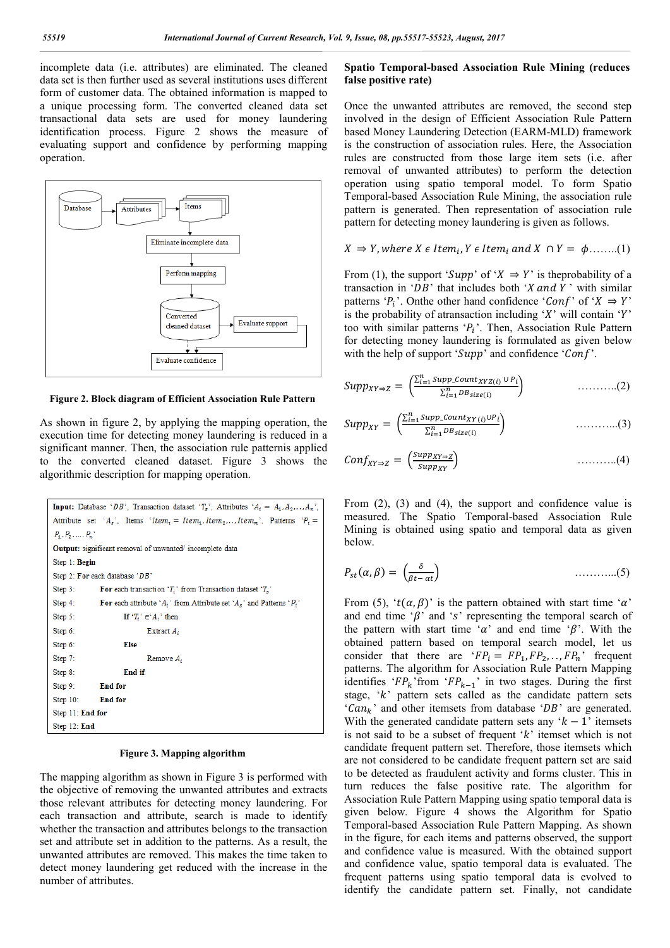incomplete data (i.e. attributes) are eliminated. The cleaned data set is then further used as several institutions uses different form of customer data. The obtained information is mapped to a unique processing form. The converted cleaned data set transactional data sets are used for money laundering identification process. Figure 2 shows the measure of evaluating support and confidence by performing mapping operation.



**Figure 2. Block diagram of Efficient Association Rule Pattern**

As shown in figure 2, by applying the mapping operation, the execution time for detecting money laundering is reduced in a significant manner. Then, the association rule patternis applied to the converted cleaned dataset. Figure 3 shows the algorithmic description for mapping operation.

```
Input: Database 'DB', Transaction dataset 'T_s', Attributes 'A_i = A_1, A_2, \ldots, A_n',
Attribute set 'A<sub>s</sub>', Items 'Item<sub>i</sub> = Item<sub>1</sub>, Item<sub>2</sub>,.., Item<sub>n</sub>', Patterns 'P<sub>i</sub> =
P_1, P_2, \ldots, P_nOutput: significant removal of unwanted/incomplete data
Step 1: Begin
Step 2: For each database 'DB'
Step 3 -For each transaction 'T_i' from Transaction dataset 'T_s'
Step 4:
                 For each attribute 'A_i' from Attribute set 'A_s' and Patterns 'P_i'
                         If 'T_i' \in'A_i' then
Step 5:
Step 6:
                                  Extract A.
Step 6:
                         Else
Step 7:
                                  Remove A.
Step 8:
                         End if
Step 9:
                 End for
Step 10:
                 End for
Step 11: End for
Step 12: End
```
#### **Figure 3. Mapping algorithm**

The mapping algorithm as shown in Figure 3 is performed with the objective of removing the unwanted attributes and extracts those relevant attributes for detecting money laundering. For each transaction and attribute, search is made to identify whether the transaction and attributes belongs to the transaction set and attribute set in addition to the patterns. As a result, the unwanted attributes are removed. This makes the time taken to detect money laundering get reduced with the increase in the number of attributes.

## **Spatio Temporal-based Association Rule Mining (reduces false positive rate)**

Once the unwanted attributes are removed, the second step involved in the design of Efficient Association Rule Pattern based Money Laundering Detection (EARM-MLD) framework is the construction of association rules. Here, the Association rules are constructed from those large item sets (i.e. after removal of unwanted attributes) to perform the detection operation using spatio temporal model. To form Spatio Temporal-based Association Rule Mining, the association rule pattern is generated. Then representation of association rule pattern for detecting money laundering is given as follows.

$$
X \Rightarrow Y
$$
, where  $X \in Item_i$ ,  $Y \in Item_i$  and  $X \cap Y = \phi$ ........(1)

From (1), the support ' $Supp'$  of ' $X \Rightarrow Y'$  is the probability of a transaction in ' $DB$ ' that includes both 'X and Y' with similar patterns ' $P_i$ '. Onthe other hand confidence ' $Conf$ ' of ' $X \Rightarrow Y$ ' is the probability of atransaction including ' $X$ ' will contain ' $Y$ ' too with similar patterns ' $P_i$ '. Then, Association Rule Pattern for detecting money laundering is formulated as given below with the help of support ' $S$ upp' and confidence ' $Conf'$ '.

$$
Supp_{XY\Rightarrow Z} = \left( \frac{\sum_{i=1}^{n} Supp\_count_{XYZ(i)} \cup P_i}{\sum_{i=1}^{n} DB_{size(i)}} \right) \qquad \qquad \dots \dots \dots \dots (2)
$$

$$
Supp_{XY} = \left( \frac{\sum_{i=1}^{n} Supp\_count_{XY}(i)\cup P_i}{\sum_{i=1}^{n} DB_{size}(i)} \right) \qquad \qquad \dots \dots \dots \dots \dots \tag{3}
$$

$$
Conf_{XY \to Z} = \left( \frac{Supp_{XY \to Z}}{Supp_{XY}} \right) \tag{4}
$$

From (2), (3) and (4), the support and confidence value is measured. The Spatio Temporal-based Association Rule Mining is obtained using spatio and temporal data as given below.

$$
P_{st}(\alpha, \beta) = \left(\frac{\delta}{\beta t - \alpha t}\right) \tag{5}
$$

From (5), ' $t(\alpha, \beta)$ ' is the pattern obtained with start time ' $\alpha$ ' and end time ' $\beta$ ' and 's' representing the temporal search of the pattern with start time ' $\alpha$ ' and end time ' $\beta$ '. With the obtained pattern based on temporal search model, let us consider that there are  $F P_i = FP_1, FP_2, \ldots, FP_n$  frequent patterns. The algorithm for Association Rule Pattern Mapping identifies ' $FP_k$ ' from ' $FP_{k-1}$ ' in two stages. During the first stage,  $k$  pattern sets called as the candidate pattern sets ' $Can_{k}$ ' and other itemsets from database ' $DB$ ' are generated. With the generated candidate pattern sets any ' $k - 1$ ' itemsets is not said to be a subset of frequent  $k'$  itemset which is not candidate frequent pattern set. Therefore, those itemsets which are not considered to be candidate frequent pattern set are said to be detected as fraudulent activity and forms cluster. This in turn reduces the false positive rate. The algorithm for Association Rule Pattern Mapping using spatio temporal data is given below. Figure 4 shows the Algorithm for Spatio Temporal-based Association Rule Pattern Mapping. As shown in the figure, for each items and patterns observed, the support and confidence value is measured. With the obtained support and confidence value, spatio temporal data is evaluated. The frequent patterns using spatio temporal data is evolved to identify the candidate pattern set. Finally, not candidate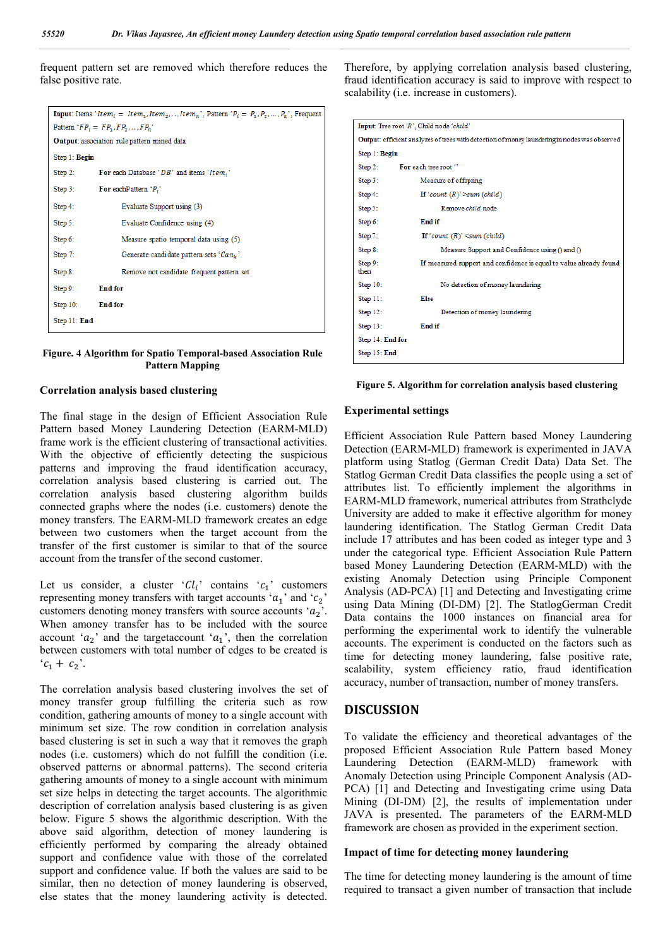frequent pattern set are removed which therefore reduces the false positive rate.

|                                                    | <b>Input:</b> Items 'Item <sub>i</sub> = Item <sub>1</sub> , Item <sub>2</sub> ,, Item <sub>n</sub> ', Pattern ' $P_i = P_1, P_2, , P_n$ ', Frequent |  |  |  |
|----------------------------------------------------|------------------------------------------------------------------------------------------------------------------------------------------------------|--|--|--|
| Pattern $FP_i = FP_1, FP_2, \ldots, FP_n$          |                                                                                                                                                      |  |  |  |
| <b>Output:</b> association rule pattern mined data |                                                                                                                                                      |  |  |  |
| Step 1: Begin                                      |                                                                                                                                                      |  |  |  |
| Step $2$ :                                         | For each Database ' $DB$ ' and items 'Item;'                                                                                                         |  |  |  |
| Step $3:$                                          | For each Pattern $P_i$                                                                                                                               |  |  |  |
| Step $4:$                                          | Evaluate Support using (3)                                                                                                                           |  |  |  |
| Step 5:                                            | Evaluate Confidence using (4)                                                                                                                        |  |  |  |
| Step 6:                                            | Measure spatio temporal data using (5)                                                                                                               |  |  |  |
| Step 7:                                            | Generate candidate pattern sets ' $Can_k$ '                                                                                                          |  |  |  |
| Step 8:                                            | Remove not candidate frequent pattern set                                                                                                            |  |  |  |
| Step 9:                                            | <b>End for</b>                                                                                                                                       |  |  |  |
| Step $10$ :                                        | <b>End for</b>                                                                                                                                       |  |  |  |
| Step 11: End                                       |                                                                                                                                                      |  |  |  |
|                                                    |                                                                                                                                                      |  |  |  |

## **Figure. 4 Algorithm for Spatio Temporal-based Association Rule Pattern Mapping**

#### **Correlation analysis based clustering**

The final stage in the design of Efficient Association Rule Pattern based Money Laundering Detection (EARM-MLD) frame work is the efficient clustering of transactional activities. With the objective of efficiently detecting the suspicious patterns and improving the fraud identification accuracy, correlation analysis based clustering is carried out. The correlation analysis based clustering algorithm builds connected graphs where the nodes (i.e. customers) denote the money transfers. The EARM-MLD framework creates an edge between two customers when the target account from the transfer of the first customer is similar to that of the source account from the transfer of the second customer.

Let us consider, a cluster ' $Cl_i$ ' contains ' $c_1$ ' customers representing money transfers with target accounts ' $a_1$ ' and ' $c_2$ ' customers denoting money transfers with source accounts  $a_2$ . When amoney transfer has to be included with the source account ' $a_2$ ' and the targetaccount ' $a_1$ ', then the correlation between customers with total number of edges to be created is  ${}^{c}C_{1} + C_{2}$ .

The correlation analysis based clustering involves the set of money transfer group fulfilling the criteria such as row condition, gathering amounts of money to a single account with minimum set size. The row condition in correlation analysis based clustering is set in such a way that it removes the graph nodes (i.e. customers) which do not fulfill the condition (i.e. observed patterns or abnormal patterns). The second criteria gathering amounts of money to a single account with minimum set size helps in detecting the target accounts. The algorithmic description of correlation analysis based clustering is as given below. Figure 5 shows the algorithmic description. With the above said algorithm, detection of money laundering is efficiently performed by comparing the already obtained support and confidence value with those of the correlated support and confidence value. If both the values are said to be similar, then no detection of money laundering is observed, else states that the money laundering activity is detected.

Therefore, by applying correlation analysis based clustering, fraud identification accuracy is said to improve with respect to scalability (i.e. increase in customers).

| Input: Tree root 'R', Child node 'child'                                                     |                                                                    |  |  |  |
|----------------------------------------------------------------------------------------------|--------------------------------------------------------------------|--|--|--|
| Output: efficient analyzes of trees with detection of money laundering in nodes was observed |                                                                    |  |  |  |
| Step 1: Begin                                                                                |                                                                    |  |  |  |
| Step 2:                                                                                      | For each tree root "                                               |  |  |  |
| Step 3:                                                                                      | Measure of offspring                                               |  |  |  |
| Step 4:                                                                                      | If 'count $(R)$ ' >sum (child)                                     |  |  |  |
| Step 5:                                                                                      | Remove child node                                                  |  |  |  |
| Step 6:                                                                                      | End if                                                             |  |  |  |
| Step 7:                                                                                      | If 'count $(R)$ ' <sum (child)<="" td=""></sum>                    |  |  |  |
| Step 8:                                                                                      | Measure Support and Confidence using () and ()                     |  |  |  |
| Step 9:<br>then                                                                              | If measured support and confidence is equal to value already found |  |  |  |
| Step 10:                                                                                     | No detection of money laundering                                   |  |  |  |
| Step 11:                                                                                     | Else                                                               |  |  |  |
| Step $12$ :                                                                                  | Detection of money laundering                                      |  |  |  |
| Step $13$ :                                                                                  | End if                                                             |  |  |  |
| Step 14: End for                                                                             |                                                                    |  |  |  |
| Step 15: End                                                                                 |                                                                    |  |  |  |

|  | Figure 5. Algorithm for correlation analysis based clustering |  |  |
|--|---------------------------------------------------------------|--|--|
|  |                                                               |  |  |

#### **Experimental settings**

Efficient Association Rule Pattern based Money Laundering Detection (EARM-MLD) framework is experimented in JAVA platform using Statlog (German Credit Data) Data Set. The Statlog German Credit Data classifies the people using a set of attributes list. To efficiently implement the algorithms in EARM-MLD framework, numerical attributes from Strathclyde University are added to make it effective algorithm for money laundering identification. The Statlog German Credit Data include 17 attributes and has been coded as integer type and 3 under the categorical type. Efficient Association Rule Pattern based Money Laundering Detection (EARM-MLD) with the existing Anomaly Detection using Principle Component Analysis (AD-PCA) [1] and Detecting and Investigating crime using Data Mining (DI-DM) [2]. The StatlogGerman Credit Data contains the 1000 instances on financial area for performing the experimental work to identify the vulnerable accounts. The experiment is conducted on the factors such as time for detecting money laundering, false positive rate, scalability, system efficiency ratio, fraud identification accuracy, number of transaction, number of money transfers.

#### **DISCUSSION**

To validate the efficiency and theoretical advantages of the proposed Efficient Association Rule Pattern based Money Laundering Detection (EARM-MLD) framework with Anomaly Detection using Principle Component Analysis (AD-PCA) [1] and Detecting and Investigating crime using Data Mining (DI-DM) [2], the results of implementation under JAVA is presented. The parameters of the EARM-MLD framework are chosen as provided in the experiment section.

#### **Impact of time for detecting money laundering**

The time for detecting money laundering is the amount of time required to transact a given number of transaction that include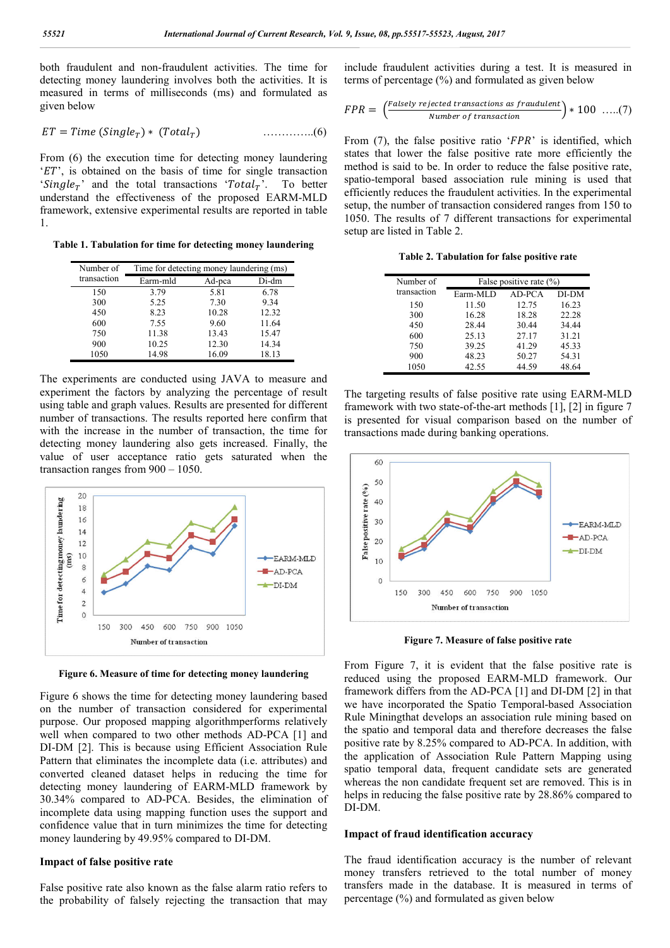both fraudulent and non-fraudulent activities. The time for detecting money laundering involves both the activities. It is measured in terms of milliseconds (ms) and formulated as given below

$$
ET = Time (SingleT) * (TotalT) \qquad \qquad \qquad \ldots \ldots \ldots \ldots (6)
$$

From (6) the execution time for detecting money laundering  $ET'$ , is obtained on the basis of time for single transaction 'Single<sub>T</sub>' and the total transactions 'Total<sub>T</sub>'. To better understand the effectiveness of the proposed EARM-MLD framework, extensive experimental results are reported in table 1.

**Table 1. Tabulation for time for detecting money laundering**

| Number of   | Time for detecting money laundering (ms) |        |       |  |
|-------------|------------------------------------------|--------|-------|--|
| transaction | Earm-mld                                 | Ad-pca | Di-dm |  |
| 150         | 3.79                                     | 5.81   | 6.78  |  |
| 300         | 5.25                                     | 7.30   | 9.34  |  |
| 450         | 8.23                                     | 10.28  | 12.32 |  |
| 600         | 7.55                                     | 9.60   | 11.64 |  |
| 750         | 11.38                                    | 13.43  | 15.47 |  |
| 900         | 10.25                                    | 12.30  | 14.34 |  |
| 1050        | 14.98                                    | 16.09  | 18.13 |  |

The experiments are conducted using JAVA to measure and experiment the factors by analyzing the percentage of result using table and graph values. Results are presented for different number of transactions. The results reported here confirm that with the increase in the number of transaction, the time for detecting money laundering also gets increased. Finally, the value of user acceptance ratio gets saturated when the transaction ranges from 900 – 1050.



**Figure 6. Measure of time for detecting money laundering**

Figure 6 shows the time for detecting money laundering based on the number of transaction considered for experimental purpose. Our proposed mapping algorithmperforms relatively well when compared to two other methods AD-PCA [1] and DI-DM [2]. This is because using Efficient Association Rule Pattern that eliminates the incomplete data (i.e. attributes) and converted cleaned dataset helps in reducing the time for detecting money laundering of EARM-MLD framework by 30.34% compared to AD-PCA. Besides, the elimination of incomplete data using mapping function uses the support and confidence value that in turn minimizes the time for detecting money laundering by 49.95% compared to DI-DM.

#### **Impact of false positive rate**

False positive rate also known as the false alarm ratio refers to the probability of falsely rejecting the transaction that may include fraudulent activities during a test. It is measured in terms of percentage (%) and formulated as given below

$$
FPR = \left(\frac{Falsely rejected \, transactions \, as \, fractional \, 100 \, \ldots (7)}{Number \, of \, transaction}\right) * 100 \, \ldots (7)
$$

From  $(7)$ , the false positive ratio ' $FPR$ ' is identified, which states that lower the false positive rate more efficiently the method is said to be. In order to reduce the false positive rate, spatio-temporal based association rule mining is used that efficiently reduces the fraudulent activities. In the experimental setup, the number of transaction considered ranges from 150 to 1050. The results of 7 different transactions for experimental setup are listed in Table 2.

**Table 2. Tabulation for false positive rate**

| Number of   | False positive rate $(\% )$ |        |       |  |
|-------------|-----------------------------|--------|-------|--|
| transaction | Earm-MLD                    | AD-PCA | DI-DM |  |
| 150         | 11.50                       | 12.75  | 16.23 |  |
| 300         | 16.28                       | 18.28  | 22.28 |  |
| 450         | 28.44                       | 30.44  | 34.44 |  |
| 600         | 25.13                       | 27.17  | 31.21 |  |
| 750         | 39.25                       | 41.29  | 45.33 |  |
| 900         | 48.23                       | 50.27  | 54.31 |  |
| 1050        | 42.55                       | 44.59  | 48.64 |  |

The targeting results of false positive rate using EARM-MLD framework with two state-of-the-art methods [1], [2] in figure 7 is presented for visual comparison based on the number of transactions made during banking operations.



**Figure 7. Measure of false positive rate**

From Figure 7, it is evident that the false positive rate is reduced using the proposed EARM-MLD framework. Our framework differs from the AD-PCA [1] and DI-DM [2] in that we have incorporated the Spatio Temporal-based Association Rule Miningthat develops an association rule mining based on the spatio and temporal data and therefore decreases the false positive rate by 8.25% compared to AD-PCA. In addition, with the application of Association Rule Pattern Mapping using spatio temporal data, frequent candidate sets are generated whereas the non candidate frequent set are removed. This is in helps in reducing the false positive rate by 28.86% compared to DI-DM.

#### **Impact of fraud identification accuracy**

The fraud identification accuracy is the number of relevant money transfers retrieved to the total number of money transfers made in the database. It is measured in terms of percentage (%) and formulated as given below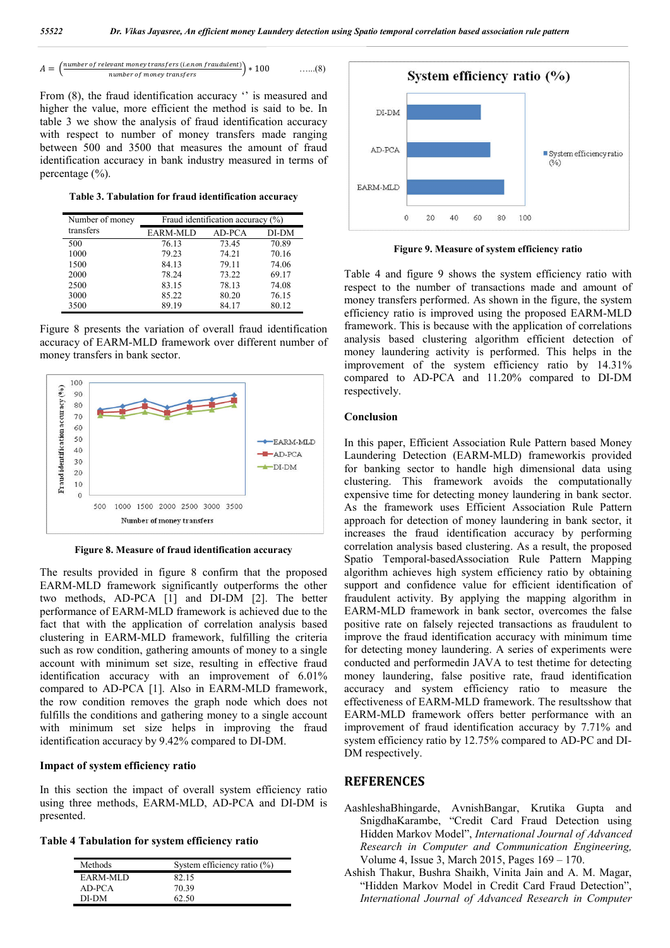$$
A = \left(\frac{\text{number of relevant money transfers (i.e. non fraudulent)}}{\text{number of money transfers}}\right) * 100 \quad \ldots \quad (8)
$$

From (8), the fraud identification accuracy " is measured and higher the value, more efficient the method is said to be. In table 3 we show the analysis of fraud identification accuracy with respect to number of money transfers made ranging between 500 and 3500 that measures the amount of fraud identification accuracy in bank industry measured in terms of percentage (%).

**Table 3. Tabulation for fraud identification accuracy**

| Number of money | Fraud identification accuracy (%) |        |       |  |
|-----------------|-----------------------------------|--------|-------|--|
| transfers       | EARM-MLD                          | AD-PCA | DI-DM |  |
| 500             | 76.13                             | 73.45  | 70.89 |  |
| 1000            | 79.23                             | 74.21  | 70.16 |  |
| 1500            | 84.13                             | 79.11  | 74.06 |  |
| 2000            | 78.24                             | 73.22  | 69.17 |  |
| 2500            | 83.15                             | 78.13  | 74.08 |  |
| 3000            | 85.22                             | 80.20  | 76.15 |  |
| 3500            | 89.19                             | 84.17  | 80.12 |  |

Figure 8 presents the variation of overall fraud identification accuracy of EARM-MLD framework over different number of money transfers in bank sector.



**Figure 8. Measure of fraud identification accuracy**

The results provided in figure 8 confirm that the proposed EARM-MLD framework significantly outperforms the other two methods, AD-PCA [1] and DI-DM [2]. The better performance of EARM-MLD framework is achieved due to the fact that with the application of correlation analysis based clustering in EARM-MLD framework, fulfilling the criteria such as row condition, gathering amounts of money to a single account with minimum set size, resulting in effective fraud identification accuracy with an improvement of 6.01% compared to AD-PCA [1]. Also in EARM-MLD framework, the row condition removes the graph node which does not fulfills the conditions and gathering money to a single account with minimum set size helps in improving the fraud identification accuracy by 9.42% compared to DI-DM.

## **Impact of system efficiency ratio**

In this section the impact of overall system efficiency ratio using three methods, EARM-MLD, AD-PCA and DI-DM is presented.

**Table 4 Tabulation for system efficiency ratio** 

| Methods  | System efficiency ratio $(\% )$ |
|----------|---------------------------------|
| EARM-MLD | 82.15                           |
| AD-PCA   | 70.39                           |
| DI-DM    | 62.50                           |



**Figure 9. Measure of system efficiency ratio**

Table 4 and figure 9 shows the system efficiency ratio with respect to the number of transactions made and amount of money transfers performed. As shown in the figure, the system efficiency ratio is improved using the proposed EARM-MLD framework. This is because with the application of correlations analysis based clustering algorithm efficient detection of money laundering activity is performed. This helps in the improvement of the system efficiency ratio by 14.31% compared to AD-PCA and 11.20% compared to DI-DM respectively.

## **Conclusion**

In this paper, Efficient Association Rule Pattern based Money Laundering Detection (EARM-MLD) frameworkis provided for banking sector to handle high dimensional data using clustering. This framework avoids the computationally expensive time for detecting money laundering in bank sector. As the framework uses Efficient Association Rule Pattern approach for detection of money laundering in bank sector, it increases the fraud identification accuracy by performing correlation analysis based clustering. As a result, the proposed Spatio Temporal-basedAssociation Rule Pattern Mapping algorithm achieves high system efficiency ratio by obtaining support and confidence value for efficient identification of fraudulent activity. By applying the mapping algorithm in EARM-MLD framework in bank sector, overcomes the false positive rate on falsely rejected transactions as fraudulent to improve the fraud identification accuracy with minimum time for detecting money laundering. A series of experiments were conducted and performedin JAVA to test thetime for detecting money laundering, false positive rate, fraud identification accuracy and system efficiency ratio to measure the effectiveness of EARM-MLD framework. The resultsshow that EARM-MLD framework offers better performance with an improvement of fraud identification accuracy by 7.71% and system efficiency ratio by 12.75% compared to AD-PC and DI-DM respectively.

# **REFERENCES**

- AashleshaBhingarde, AvnishBangar, Krutika Gupta and SnigdhaKarambe, "Credit Card Fraud Detection using Hidden Markov Model", *International Journal of Advanced Research in Computer and Communication Engineering,* Volume 4, Issue 3, March 2015, Pages 169 – 170.
- Ashish Thakur, Bushra Shaikh, Vinita Jain and A. M. Magar, "Hidden Markov Model in Credit Card Fraud Detection", *International Journal of Advanced Research in Computer*